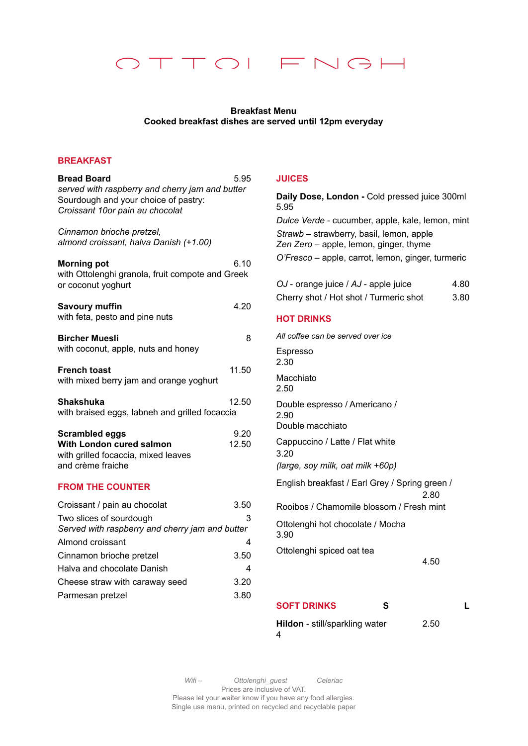

## **Breakfast Menu Cooked breakfast dishes are served until 12pm everyday**

## **BREAKFAST**

| <b>Bread Board</b><br>served with raspberry and cherry jam and butter<br>Sourdough and your choice of pastry:<br>Croissant 10or pain au chocolat | 5.95          |
|--------------------------------------------------------------------------------------------------------------------------------------------------|---------------|
| Cinnamon brioche pretzel,<br>almond croissant, halva Danish (+1.00)                                                                              |               |
| <b>Morning pot</b><br>with Ottolenghi granola, fruit compote and Greek<br>or coconut yoghurt                                                     | 6.10          |
| <b>Savoury muffin</b><br>with feta, pesto and pine nuts                                                                                          | 4.20          |
| <b>Bircher Muesli</b><br>with coconut, apple, nuts and honey                                                                                     | 8             |
| <b>French toast</b><br>with mixed berry jam and orange yoghurt                                                                                   | 11.50         |
| Shakshuka<br>with braised eggs, labneh and grilled focaccia                                                                                      | 12.50         |
| <b>Scrambled eggs</b><br>With London cured salmon<br>with grilled focaccia, mixed leaves<br>and crème fraiche                                    | 9.20<br>12.50 |
| <b>FROM THE COUNTER</b>                                                                                                                          |               |
| Croissant / pain au chocolat<br>Two slices of sourdough<br>Served with raspberry and cherry jam and butter                                       | 3.50<br>3     |
| Almond croissant                                                                                                                                 | 4             |
| Cinnamon brioche pretzel                                                                                                                         | 3.50          |
| Halva and chocolate Danish                                                                                                                       | 4             |
| Cheese straw with caraway seed                                                                                                                   | 3.20          |
| Parmesan pretzel                                                                                                                                 | 3.80          |

## **JUICES**

**Daily Dose, London -** Cold pressed juice 300ml 5.95 *Dulce Verde* - cucumber, apple, kale, lemon, mint *Strawb –* strawberry, basil, lemon, apple *Zen Zero –* apple, lemon, ginger, thyme *O'Fresco –* apple, carrot, lemon, ginger, turmeric

| OJ - orange juice / AJ - apple juice   | 4.80 |
|----------------------------------------|------|
| Cherry shot / Hot shot / Turmeric shot | 3.80 |

## **HOT DRINKS**

| All coffee can be served over ice                                           |  |
|-----------------------------------------------------------------------------|--|
| <b>Espresso</b><br>2.30                                                     |  |
| Macchiato<br>2.50                                                           |  |
| Double espresso / Americano /<br>2.90<br>Double macchiato                   |  |
| Cappuccino / Latte / Flat white<br>3.20<br>(large, soy milk, oat milk +60p) |  |
| English breakfast / Earl Grey / Spring green /<br>2.80                      |  |
| Rooibos / Chamomile blossom / Fresh mint                                    |  |
| Ottolenghi hot chocolate / Mocha<br>3.90                                    |  |
| Ottolenghi spiced oat tea<br>4.50                                           |  |
| <b>SOFT DRINKS</b><br>S                                                     |  |
|                                                                             |  |

**Hildon** - still/sparkling water 2.50 4